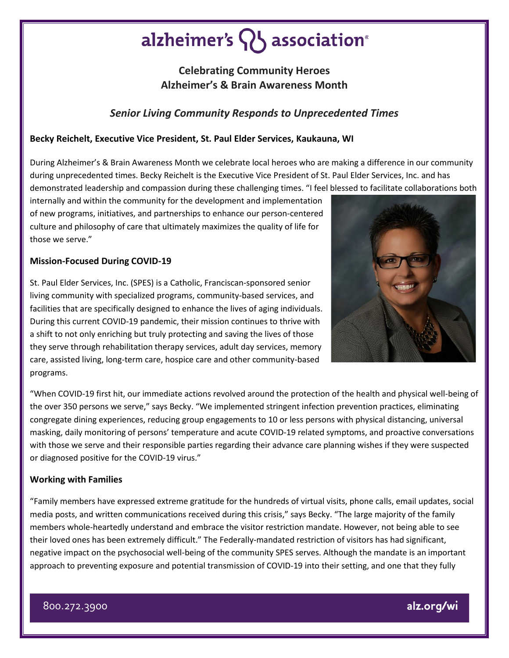# alzheimer's  $\{ \}$  association<sup>®</sup>

# **Celebrating Community Heroes Alzheimer's & Brain Awareness Month**

## *Senior Living Community Responds to Unprecedented Times*

## **Becky Reichelt, Executive Vice President, St. Paul Elder Services, Kaukauna, WI**

During Alzheimer's & Brain Awareness Month we celebrate local heroes who are making a difference in our community during unprecedented times. Becky Reichelt is the Executive Vice President of St. Paul Elder Services, Inc. and has demonstrated leadership and compassion during these challenging times. "I feel blessed to facilitate collaborations both

internally and within the community for the development and implementation of new programs, initiatives, and partnerships to enhance our person-centered culture and philosophy of care that ultimately maximizes the quality of life for those we serve."

#### **Mission-Focused During COVID-19**

St. Paul Elder Services, Inc. (SPES) is a Catholic, Franciscan-sponsored senior living community with specialized programs, community-based services, and facilities that are specifically designed to enhance the lives of aging individuals. During this current COVID-19 pandemic, their mission continues to thrive with a shift to not only enriching but truly protecting and saving the lives of those they serve through rehabilitation therapy services, adult day services, memory care, assisted living, long-term care, hospice care and other community-based programs.



"When COVID-19 first hit, our immediate actions revolved around the protection of the health and physical well-being of the over 350 persons we serve," says Becky. "We implemented stringent infection prevention practices, eliminating congregate dining experiences, reducing group engagements to 10 or less persons with physical distancing, universal masking, daily monitoring of persons' temperature and acute COVID-19 related symptoms, and proactive conversations with those we serve and their responsible parties regarding their advance care planning wishes if they were suspected or diagnosed positive for the COVID-19 virus."

## **Working with Families**

"Family members have expressed extreme gratitude for the hundreds of virtual visits, phone calls, email updates, social media posts, and written communications received during this crisis," says Becky. "The large majority of the family members whole-heartedly understand and embrace the visitor restriction mandate. However, not being able to see their loved ones has been extremely difficult." The Federally-mandated restriction of visitors has had significant, negative impact on the psychosocial well-being of the community SPES serves. Although the mandate is an important approach to preventing exposure and potential transmission of COVID-19 into their setting, and one that they fully